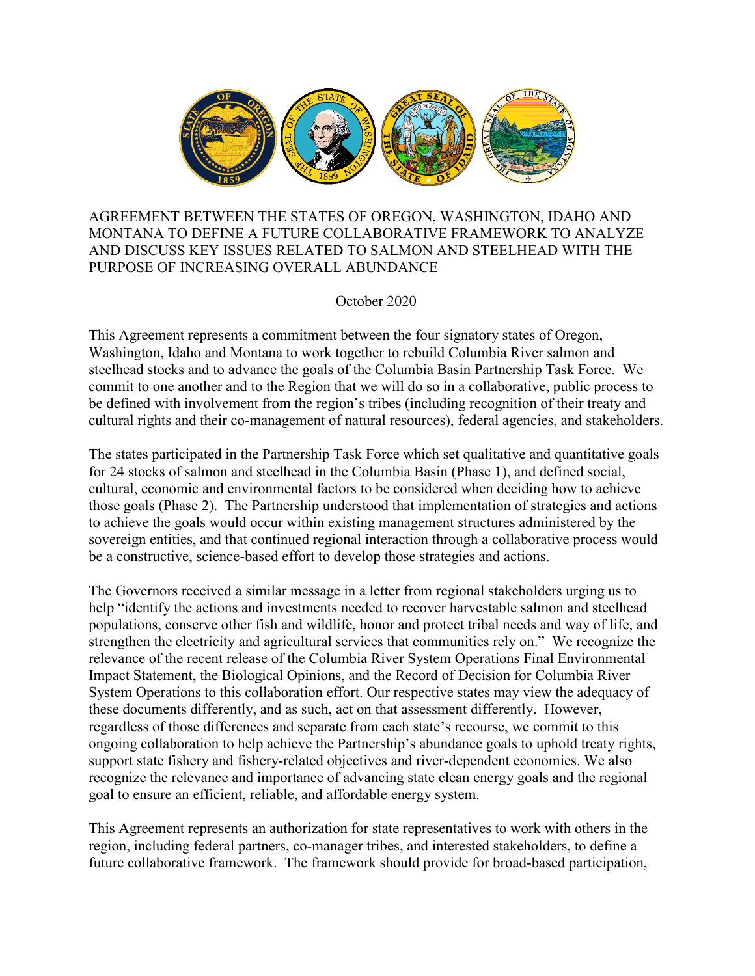

AGREEMENT BETWEEN THE STATES OF OREGON, WASHINGTON, IDAHO AND MONTANA TO DEFINE A FUTURE COLLABORATIVE FRAMEWORK TO ANALYZE AND DISCUSS KEY ISSUES RELATED TO SALMON AND STEELHEAD WITH THE PURPOSE OF INCREASING OVERALL ABUNDANCE

October 2020

This Agreement represents a commitment between the four signatory states of Oregon, Washington, Idaho and Montana to work together to rebuild Columbia River salmon and steelhead stocks and to advance the goals of the Columbia Basin Partnership Task Force. We commit to one another and to the Region that we will do so in a collaborative, public process to be defined with involvement from the region's tribes (including recognition of their treaty and cultural rights and their co-management of natural resources), federal agencies, and stakeholders.

The states participated in the Partnership Task Force which set qualitative and quantitative goals for 24 stocks of salmon and steelhead in the Columbia Basin (Phase 1), and defined social, cultural, economic and environmental factors to be considered when deciding how to achieve those goals (Phase 2). The Partnership understood that implementation of strategies and actions to achieve the goals would occur within existing management structures administered by the sovereign entities, and that continued regional interaction through a collaborative process would be a constructive, science-based effort to develop those strategies and actions.

The Governors received a similar message in a letter from regional stakeholders urging us to help "identify the actions and investments needed to recover harvestable salmon and steelhead populations, conserve other fish and wildlife, honor and protect tribal needs and way of life, and strengthen the electricity and agricultural services that communities rely on." We recognize the relevance of the recent release of the Columbia River System Operations Final Environmental Impact Statement, the Biological Opinions, and the Record of Decision for Columbia River System Operations to this collaboration effort. Our respective states may view the adequacy of these documents differently, and as such, act on that assessment differently. However, regardless of those differences and separate from each state's recourse, we commit to this ongoing collaboration to help achieve the Partnership's abundance goals to uphold treaty rights, support state fishery and fishery-related objectives and river-dependent economies. We also recognize the relevance and importance of advancing state clean energy goals and the regional goal to ensure an efficient, reliable, and affordable energy system.

This Agreement represents an authorization for state representatives to work with others in the region, including federal partners, co-manager tribes, and interested stakeholders, to define a future collaborative framework. The framework should provide for broad-based participation,